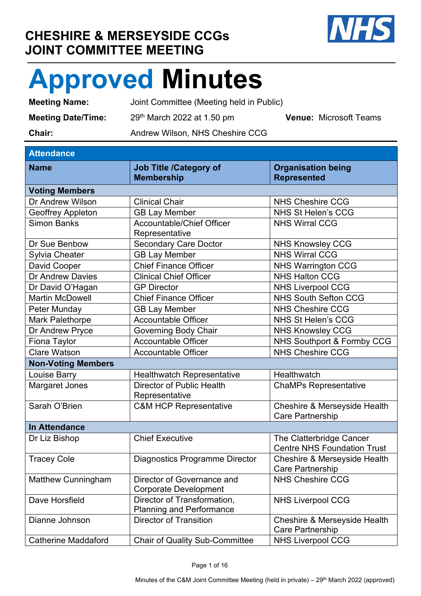## **CHESHIRE & MERSEYSIDE CCGs JOINT COMMITTEE MEETING**



## **Approved Minutes**

**Meeting Name:** Joint Committee (Meeting held in Public) **Meeting Date/Time:** 29<sup>th</sup> March 2022 at 1.50 pm **Venue:** Microsoft Teams **Chair: Andrew Wilson, NHS Cheshire CCG** 

## **Attendance**

| AllGHualluc                |                                                                |                                                                |
|----------------------------|----------------------------------------------------------------|----------------------------------------------------------------|
| <b>Name</b>                | <b>Job Title /Category of</b><br><b>Membership</b>             | <b>Organisation being</b><br><b>Represented</b>                |
| <b>Voting Members</b>      |                                                                |                                                                |
| Dr Andrew Wilson           | <b>Clinical Chair</b>                                          | <b>NHS Cheshire CCG</b>                                        |
| Geoffrey Appleton          | <b>GB Lay Member</b>                                           | <b>NHS St Helen's CCG</b>                                      |
| <b>Simon Banks</b>         | Accountable/Chief Officer<br>Representative                    | <b>NHS Wirral CCG</b>                                          |
| Dr Sue Benbow              | <b>Secondary Care Doctor</b>                                   | <b>NHS Knowsley CCG</b>                                        |
| <b>Sylvia Cheater</b>      | <b>GB Lay Member</b>                                           | <b>NHS Wirral CCG</b>                                          |
| David Cooper               | <b>Chief Finance Officer</b>                                   | <b>NHS Warrington CCG</b>                                      |
| Dr Andrew Davies           | <b>Clinical Chief Officer</b>                                  | <b>NHS Halton CCG</b>                                          |
| Dr David O'Hagan           | <b>GP Director</b>                                             | <b>NHS Liverpool CCG</b>                                       |
| <b>Martin McDowell</b>     | <b>Chief Finance Officer</b>                                   | <b>NHS South Sefton CCG</b>                                    |
| Peter Munday               | <b>GB Lay Member</b>                                           | <b>NHS Cheshire CCG</b>                                        |
| <b>Mark Palethorpe</b>     | <b>Accountable Officer</b>                                     | <b>NHS St Helen's CCG</b>                                      |
| Dr Andrew Pryce            | Governing Body Chair                                           | <b>NHS Knowsley CCG</b>                                        |
| Fiona Taylor               | <b>Accountable Officer</b>                                     | NHS Southport & Formby CCG                                     |
| <b>Clare Watson</b>        | <b>Accountable Officer</b>                                     | <b>NHS Cheshire CCG</b>                                        |
| <b>Non-Voting Members</b>  |                                                                |                                                                |
| Louise Barry               | <b>Healthwatch Representative</b>                              | Healthwatch                                                    |
| <b>Margaret Jones</b>      | Director of Public Health<br>Representative                    | <b>ChaMPs Representative</b>                                   |
| Sarah O'Brien              | <b>C&amp;M HCP Representative</b>                              | Cheshire & Merseyside Health<br><b>Care Partnership</b>        |
| <b>In Attendance</b>       |                                                                |                                                                |
| Dr Liz Bishop              | <b>Chief Executive</b>                                         | The Clatterbridge Cancer<br><b>Centre NHS Foundation Trust</b> |
| <b>Tracey Cole</b>         | <b>Diagnostics Programme Director</b>                          | Cheshire & Merseyside Health<br><b>Care Partnership</b>        |
| <b>Matthew Cunningham</b>  | Director of Governance and<br><b>Corporate Development</b>     | <b>NHS Cheshire CCG</b>                                        |
| Dave Horsfield             | Director of Transformation,<br><b>Planning and Performance</b> | <b>NHS Liverpool CCG</b>                                       |
| Dianne Johnson             | <b>Director of Transition</b>                                  | Cheshire & Merseyside Health<br><b>Care Partnership</b>        |
| <b>Catherine Maddaford</b> | <b>Chair of Quality Sub-Committee</b>                          | <b>NHS Liverpool CCG</b>                                       |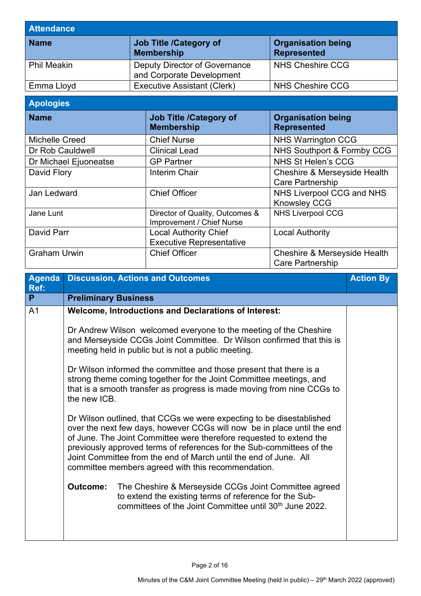| <b>Attendance</b>  |                                                            |                                                 |  |
|--------------------|------------------------------------------------------------|-------------------------------------------------|--|
| <b>Name</b>        | Job Title /Category of<br><b>Membership</b>                | <b>Organisation being</b><br><b>Represented</b> |  |
| <b>Phil Meakin</b> | Deputy Director of Governance<br>and Corporate Development | NHS Cheshire CCG                                |  |
| Emma Lloyd         | <b>Executive Assistant (Clerk)</b>                         | NHS Cheshire CCG                                |  |

## **Apologies**

| <b>Name</b>           | <b>Job Title /Category of</b><br><b>Membership</b>              | <b>Organisation being</b><br><b>Represented</b>         |
|-----------------------|-----------------------------------------------------------------|---------------------------------------------------------|
| Michelle Creed        | <b>Chief Nurse</b>                                              | <b>NHS Warrington CCG</b>                               |
| Dr Rob Cauldwell      | <b>Clinical Lead</b>                                            | NHS Southport & Formby CCG                              |
| Dr Michael Ejuoneatse | <b>GP Partner</b>                                               | <b>NHS St Helen's CCG</b>                               |
| David Flory           | Interim Chair                                                   | Cheshire & Merseyside Health<br><b>Care Partnership</b> |
| Jan Ledward           | <b>Chief Officer</b>                                            | NHS Liverpool CCG and NHS<br><b>Knowsley CCG</b>        |
| Jane Lunt             | Director of Quality, Outcomes &<br>Improvement / Chief Nurse    | <b>NHS Liverpool CCG</b>                                |
| David Parr            | <b>Local Authority Chief</b><br><b>Executive Representative</b> | <b>Local Authority</b>                                  |
| <b>Graham Urwin</b>   | <b>Chief Officer</b>                                            | Cheshire & Merseyside Health<br><b>Care Partnership</b> |

| Agenda<br>Ref: | <b>Discussion, Actions and Outcomes</b>                                                                                                                                                                                                                                                                                                                                                                                                                                                                                                                                                                                                                                                                                                                                                                                                                                                                                                                                                                                                                                                                                                          | <b>Action By</b> |
|----------------|--------------------------------------------------------------------------------------------------------------------------------------------------------------------------------------------------------------------------------------------------------------------------------------------------------------------------------------------------------------------------------------------------------------------------------------------------------------------------------------------------------------------------------------------------------------------------------------------------------------------------------------------------------------------------------------------------------------------------------------------------------------------------------------------------------------------------------------------------------------------------------------------------------------------------------------------------------------------------------------------------------------------------------------------------------------------------------------------------------------------------------------------------|------------------|
| P.             | <b>Preliminary Business</b>                                                                                                                                                                                                                                                                                                                                                                                                                                                                                                                                                                                                                                                                                                                                                                                                                                                                                                                                                                                                                                                                                                                      |                  |
| A <sub>1</sub> | <b>Welcome, Introductions and Declarations of Interest:</b><br>Dr Andrew Wilson welcomed everyone to the meeting of the Cheshire<br>and Merseyside CCGs Joint Committee. Dr Wilson confirmed that this is<br>meeting held in public but is not a public meeting.<br>Dr Wilson informed the committee and those present that there is a<br>strong theme coming together for the Joint Committee meetings, and<br>that is a smooth transfer as progress is made moving from nine CCGs to<br>the new ICB.<br>Dr Wilson outlined, that CCGs we were expecting to be disestablished<br>over the next few days, however CCGs will now be in place until the end<br>of June. The Joint Committee were therefore requested to extend the<br>previously approved terms of references for the Sub-committees of the<br>Joint Committee from the end of March until the end of June. All<br>committee members agreed with this recommendation.<br>The Cheshire & Merseyside CCGs Joint Committee agreed<br><b>Outcome:</b><br>to extend the existing terms of reference for the Sub-<br>committees of the Joint Committee until 30 <sup>th</sup> June 2022. |                  |
|                |                                                                                                                                                                                                                                                                                                                                                                                                                                                                                                                                                                                                                                                                                                                                                                                                                                                                                                                                                                                                                                                                                                                                                  |                  |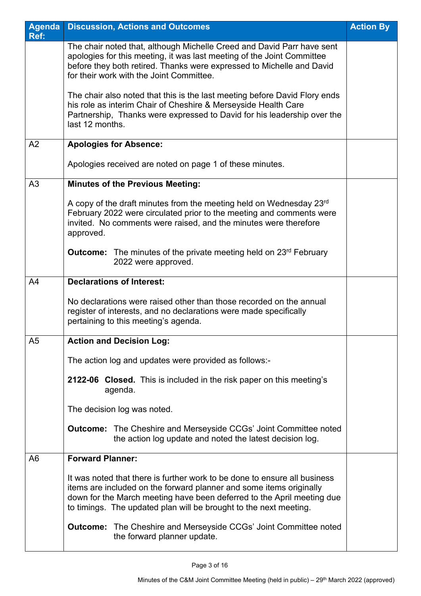| <b>Agenda</b>  | <b>Discussion, Actions and Outcomes</b>                                                                                                                                                                                                                                                         | <b>Action By</b> |
|----------------|-------------------------------------------------------------------------------------------------------------------------------------------------------------------------------------------------------------------------------------------------------------------------------------------------|------------------|
| Ref:           | The chair noted that, although Michelle Creed and David Parr have sent                                                                                                                                                                                                                          |                  |
|                | apologies for this meeting, it was last meeting of the Joint Committee<br>before they both retired. Thanks were expressed to Michelle and David<br>for their work with the Joint Committee.                                                                                                     |                  |
|                | The chair also noted that this is the last meeting before David Flory ends<br>his role as interim Chair of Cheshire & Merseyside Health Care<br>Partnership, Thanks were expressed to David for his leadership over the<br>last 12 months.                                                      |                  |
| A2             | <b>Apologies for Absence:</b>                                                                                                                                                                                                                                                                   |                  |
|                | Apologies received are noted on page 1 of these minutes.                                                                                                                                                                                                                                        |                  |
| A3             | <b>Minutes of the Previous Meeting:</b>                                                                                                                                                                                                                                                         |                  |
|                | A copy of the draft minutes from the meeting held on Wednesday $23rd$<br>February 2022 were circulated prior to the meeting and comments were<br>invited. No comments were raised, and the minutes were therefore<br>approved.                                                                  |                  |
|                | <b>Outcome:</b> The minutes of the private meeting held on 23 <sup>rd</sup> February<br>2022 were approved.                                                                                                                                                                                     |                  |
| A <sup>4</sup> | <b>Declarations of Interest:</b>                                                                                                                                                                                                                                                                |                  |
|                | No declarations were raised other than those recorded on the annual<br>register of interests, and no declarations were made specifically<br>pertaining to this meeting's agenda.                                                                                                                |                  |
| A <sub>5</sub> | <b>Action and Decision Log:</b>                                                                                                                                                                                                                                                                 |                  |
|                | The action log and updates were provided as follows:-                                                                                                                                                                                                                                           |                  |
|                | 2122-06 Closed. This is included in the risk paper on this meeting's<br>agenda.                                                                                                                                                                                                                 |                  |
|                | The decision log was noted.                                                                                                                                                                                                                                                                     |                  |
|                | <b>Outcome:</b> The Cheshire and Merseyside CCGs' Joint Committee noted<br>the action log update and noted the latest decision log.                                                                                                                                                             |                  |
| A6             | <b>Forward Planner:</b>                                                                                                                                                                                                                                                                         |                  |
|                | It was noted that there is further work to be done to ensure all business<br>items are included on the forward planner and some items originally<br>down for the March meeting have been deferred to the April meeting due<br>to timings. The updated plan will be brought to the next meeting. |                  |
|                | <b>Outcome:</b> The Cheshire and Merseyside CCGs' Joint Committee noted<br>the forward planner update.                                                                                                                                                                                          |                  |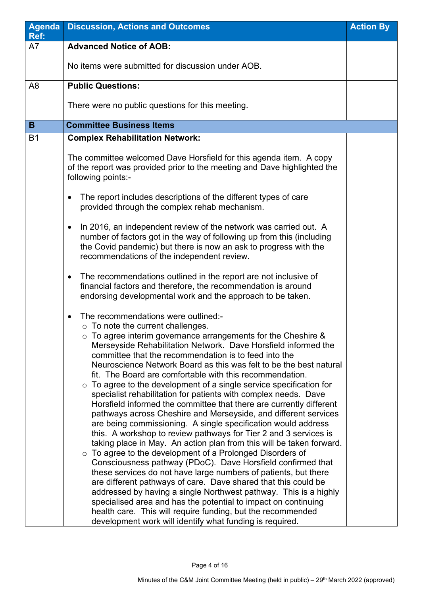| <b>Agenda</b><br>Ref: | <b>Discussion, Actions and Outcomes</b>                                                                                                                                                                                                                                                                                                                                                                                                                                                                                                                                                                                                                                                                                                                                                                                                                                                                                                                                                                                                                                                                                                                                                                                                                                                                                                                                                                                                                                        | <b>Action By</b> |
|-----------------------|--------------------------------------------------------------------------------------------------------------------------------------------------------------------------------------------------------------------------------------------------------------------------------------------------------------------------------------------------------------------------------------------------------------------------------------------------------------------------------------------------------------------------------------------------------------------------------------------------------------------------------------------------------------------------------------------------------------------------------------------------------------------------------------------------------------------------------------------------------------------------------------------------------------------------------------------------------------------------------------------------------------------------------------------------------------------------------------------------------------------------------------------------------------------------------------------------------------------------------------------------------------------------------------------------------------------------------------------------------------------------------------------------------------------------------------------------------------------------------|------------------|
| A7                    | <b>Advanced Notice of AOB:</b>                                                                                                                                                                                                                                                                                                                                                                                                                                                                                                                                                                                                                                                                                                                                                                                                                                                                                                                                                                                                                                                                                                                                                                                                                                                                                                                                                                                                                                                 |                  |
|                       | No items were submitted for discussion under AOB.                                                                                                                                                                                                                                                                                                                                                                                                                                                                                                                                                                                                                                                                                                                                                                                                                                                                                                                                                                                                                                                                                                                                                                                                                                                                                                                                                                                                                              |                  |
| A <sub>8</sub>        | <b>Public Questions:</b>                                                                                                                                                                                                                                                                                                                                                                                                                                                                                                                                                                                                                                                                                                                                                                                                                                                                                                                                                                                                                                                                                                                                                                                                                                                                                                                                                                                                                                                       |                  |
|                       | There were no public questions for this meeting.                                                                                                                                                                                                                                                                                                                                                                                                                                                                                                                                                                                                                                                                                                                                                                                                                                                                                                                                                                                                                                                                                                                                                                                                                                                                                                                                                                                                                               |                  |
| B                     | <b>Committee Business Items</b>                                                                                                                                                                                                                                                                                                                                                                                                                                                                                                                                                                                                                                                                                                                                                                                                                                                                                                                                                                                                                                                                                                                                                                                                                                                                                                                                                                                                                                                |                  |
| <b>B1</b>             | <b>Complex Rehabilitation Network:</b>                                                                                                                                                                                                                                                                                                                                                                                                                                                                                                                                                                                                                                                                                                                                                                                                                                                                                                                                                                                                                                                                                                                                                                                                                                                                                                                                                                                                                                         |                  |
|                       | The committee welcomed Dave Horsfield for this agenda item. A copy<br>of the report was provided prior to the meeting and Dave highlighted the<br>following points:-                                                                                                                                                                                                                                                                                                                                                                                                                                                                                                                                                                                                                                                                                                                                                                                                                                                                                                                                                                                                                                                                                                                                                                                                                                                                                                           |                  |
|                       | The report includes descriptions of the different types of care<br>$\bullet$<br>provided through the complex rehab mechanism.                                                                                                                                                                                                                                                                                                                                                                                                                                                                                                                                                                                                                                                                                                                                                                                                                                                                                                                                                                                                                                                                                                                                                                                                                                                                                                                                                  |                  |
|                       | In 2016, an independent review of the network was carried out. A<br>number of factors got in the way of following up from this (including<br>the Covid pandemic) but there is now an ask to progress with the<br>recommendations of the independent review.                                                                                                                                                                                                                                                                                                                                                                                                                                                                                                                                                                                                                                                                                                                                                                                                                                                                                                                                                                                                                                                                                                                                                                                                                    |                  |
|                       | The recommendations outlined in the report are not inclusive of<br>$\bullet$<br>financial factors and therefore, the recommendation is around<br>endorsing developmental work and the approach to be taken.                                                                                                                                                                                                                                                                                                                                                                                                                                                                                                                                                                                                                                                                                                                                                                                                                                                                                                                                                                                                                                                                                                                                                                                                                                                                    |                  |
|                       | The recommendations were outlined:-<br>$\bullet$<br>$\circ$ To note the current challenges.<br>$\circ$ To agree interim governance arrangements for the Cheshire &<br>Merseyside Rehabilitation Network. Dave Horsfield informed the<br>committee that the recommendation is to feed into the<br>Neuroscience Network Board as this was felt to be the best natural<br>fit. The Board are comfortable with this recommendation.<br>$\circ$ To agree to the development of a single service specification for<br>specialist rehabilitation for patients with complex needs. Dave<br>Horsfield informed the committee that there are currently different<br>pathways across Cheshire and Merseyside, and different services<br>are being commissioning. A single specification would address<br>this. A workshop to review pathways for Tier 2 and 3 services is<br>taking place in May. An action plan from this will be taken forward.<br>$\circ$ To agree to the development of a Prolonged Disorders of<br>Consciousness pathway (PDoC). Dave Horsfield confirmed that<br>these services do not have large numbers of patients, but there<br>are different pathways of care. Dave shared that this could be<br>addressed by having a single Northwest pathway. This is a highly<br>specialised area and has the potential to impact on continuing<br>health care. This will require funding, but the recommended<br>development work will identify what funding is required. |                  |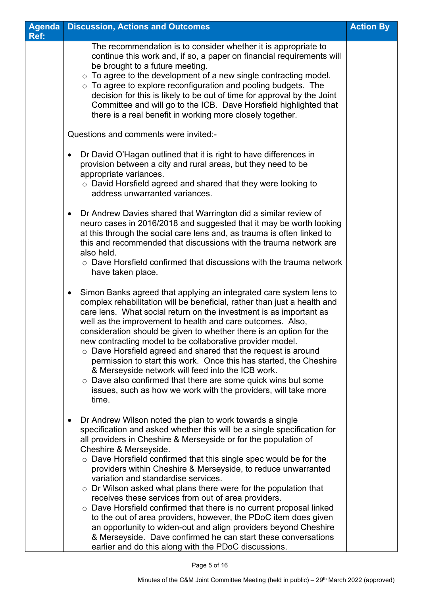| <b>Agenda</b> | <b>Discussion, Actions and Outcomes</b>                                                                                                                                                                                                                                                                                                                                                                                                                                                                                                                                                                                                                                                                                                                                                                                                                                                                | <b>Action By</b> |
|---------------|--------------------------------------------------------------------------------------------------------------------------------------------------------------------------------------------------------------------------------------------------------------------------------------------------------------------------------------------------------------------------------------------------------------------------------------------------------------------------------------------------------------------------------------------------------------------------------------------------------------------------------------------------------------------------------------------------------------------------------------------------------------------------------------------------------------------------------------------------------------------------------------------------------|------------------|
| Ref:          |                                                                                                                                                                                                                                                                                                                                                                                                                                                                                                                                                                                                                                                                                                                                                                                                                                                                                                        |                  |
|               | The recommendation is to consider whether it is appropriate to<br>continue this work and, if so, a paper on financial requirements will<br>be brought to a future meeting.<br>$\circ$ To agree to the development of a new single contracting model.<br>$\circ$ To agree to explore reconfiguration and pooling budgets. The<br>decision for this is likely to be out of time for approval by the Joint<br>Committee and will go to the ICB. Dave Horsfield highlighted that<br>there is a real benefit in working more closely together.                                                                                                                                                                                                                                                                                                                                                              |                  |
|               | Questions and comments were invited:-                                                                                                                                                                                                                                                                                                                                                                                                                                                                                                                                                                                                                                                                                                                                                                                                                                                                  |                  |
|               | Dr David O'Hagan outlined that it is right to have differences in<br>$\bullet$<br>provision between a city and rural areas, but they need to be<br>appropriate variances.<br>○ David Horsfield agreed and shared that they were looking to<br>address unwarranted variances.                                                                                                                                                                                                                                                                                                                                                                                                                                                                                                                                                                                                                           |                  |
|               | Dr Andrew Davies shared that Warrington did a similar review of<br>$\bullet$<br>neuro cases in 2016/2018 and suggested that it may be worth looking<br>at this through the social care lens and, as trauma is often linked to<br>this and recommended that discussions with the trauma network are<br>also held.<br>$\circ$ Dave Horsfield confirmed that discussions with the trauma network<br>have taken place.                                                                                                                                                                                                                                                                                                                                                                                                                                                                                     |                  |
|               | Simon Banks agreed that applying an integrated care system lens to<br>$\bullet$<br>complex rehabilitation will be beneficial, rather than just a health and<br>care lens. What social return on the investment is as important as<br>well as the improvement to health and care outcomes. Also,<br>consideration should be given to whether there is an option for the<br>new contracting model to be collaborative provider model.<br>$\circ$ Dave Horsfield agreed and shared that the request is around<br>permission to start this work. Once this has started, the Cheshire<br>& Merseyside network will feed into the ICB work.<br>$\circ$ Dave also confirmed that there are some quick wins but some<br>issues, such as how we work with the providers, will take more<br>time.                                                                                                                |                  |
|               | Dr Andrew Wilson noted the plan to work towards a single<br>$\bullet$<br>specification and asked whether this will be a single specification for<br>all providers in Cheshire & Merseyside or for the population of<br>Cheshire & Merseyside.<br>$\circ$ Dave Horsfield confirmed that this single spec would be for the<br>providers within Cheshire & Merseyside, to reduce unwarranted<br>variation and standardise services.<br>$\circ$ Dr Wilson asked what plans there were for the population that<br>receives these services from out of area providers.<br>o Dave Horsfield confirmed that there is no current proposal linked<br>to the out of area providers, however, the PDoC item does given<br>an opportunity to widen-out and align providers beyond Cheshire<br>& Merseyside. Dave confirmed he can start these conversations<br>earlier and do this along with the PDoC discussions. |                  |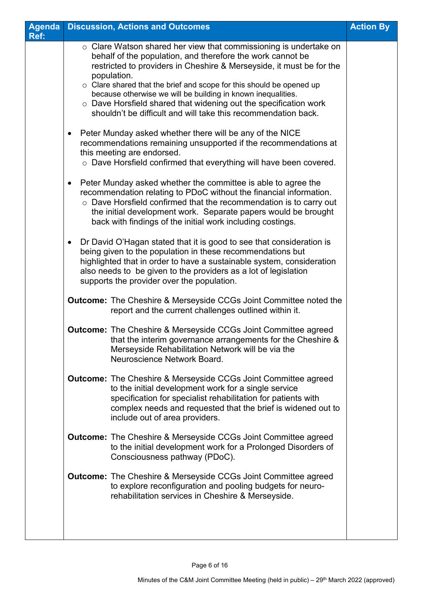| <b>Agenda</b> | <b>Discussion, Actions and Outcomes</b>                                                                                                                                                                                                                                                                                                   | <b>Action By</b> |
|---------------|-------------------------------------------------------------------------------------------------------------------------------------------------------------------------------------------------------------------------------------------------------------------------------------------------------------------------------------------|------------------|
| Ref:          |                                                                                                                                                                                                                                                                                                                                           |                  |
|               | $\circ$ Clare Watson shared her view that commissioning is undertake on<br>behalf of the population, and therefore the work cannot be<br>restricted to providers in Cheshire & Merseyside, it must be for the<br>population.                                                                                                              |                  |
|               | o Clare shared that the brief and scope for this should be opened up<br>because otherwise we will be building in known inequalities.<br>o Dave Horsfield shared that widening out the specification work<br>shouldn't be difficult and will take this recommendation back.                                                                |                  |
|               | Peter Munday asked whether there will be any of the NICE<br>$\bullet$<br>recommendations remaining unsupported if the recommendations at<br>this meeting are endorsed.<br>o Dave Horsfield confirmed that everything will have been covered.                                                                                              |                  |
|               | Peter Munday asked whether the committee is able to agree the<br>recommendation relating to PDoC without the financial information.<br>o Dave Horsfield confirmed that the recommendation is to carry out<br>the initial development work. Separate papers would be brought<br>back with findings of the initial work including costings. |                  |
|               | Dr David O'Hagan stated that it is good to see that consideration is<br>being given to the population in these recommendations but<br>highlighted that in order to have a sustainable system, consideration<br>also needs to be given to the providers as a lot of legislation<br>supports the provider over the population.              |                  |
|               | <b>Outcome:</b> The Cheshire & Merseyside CCGs Joint Committee noted the<br>report and the current challenges outlined within it.                                                                                                                                                                                                         |                  |
|               | <b>Outcome:</b> The Cheshire & Merseyside CCGs Joint Committee agreed<br>that the interim governance arrangements for the Cheshire &<br>Merseyside Rehabilitation Network will be via the<br>Neuroscience Network Board.                                                                                                                  |                  |
|               | <b>Outcome:</b> The Cheshire & Merseyside CCGs Joint Committee agreed<br>to the initial development work for a single service<br>specification for specialist rehabilitation for patients with<br>complex needs and requested that the brief is widened out to<br>include out of area providers.                                          |                  |
|               | <b>Outcome:</b> The Cheshire & Merseyside CCGs Joint Committee agreed<br>to the initial development work for a Prolonged Disorders of<br>Consciousness pathway (PDoC).                                                                                                                                                                    |                  |
|               | <b>Outcome:</b> The Cheshire & Merseyside CCGs Joint Committee agreed<br>to explore reconfiguration and pooling budgets for neuro-<br>rehabilitation services in Cheshire & Merseyside.                                                                                                                                                   |                  |
|               |                                                                                                                                                                                                                                                                                                                                           |                  |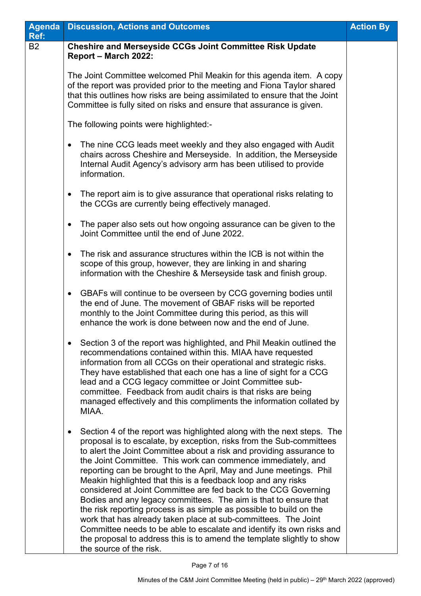| <b>Agenda</b><br>Ref: | <b>Discussion, Actions and Outcomes</b>                                                                                                                                                                                                                                                                                                                                                                                                                                                                                                                                                                                                                                                                                                                                                                                                                                                                  | <b>Action By</b> |
|-----------------------|----------------------------------------------------------------------------------------------------------------------------------------------------------------------------------------------------------------------------------------------------------------------------------------------------------------------------------------------------------------------------------------------------------------------------------------------------------------------------------------------------------------------------------------------------------------------------------------------------------------------------------------------------------------------------------------------------------------------------------------------------------------------------------------------------------------------------------------------------------------------------------------------------------|------------------|
| <b>B2</b>             | <b>Cheshire and Merseyside CCGs Joint Committee Risk Update</b><br>Report - March 2022:                                                                                                                                                                                                                                                                                                                                                                                                                                                                                                                                                                                                                                                                                                                                                                                                                  |                  |
|                       | The Joint Committee welcomed Phil Meakin for this agenda item. A copy<br>of the report was provided prior to the meeting and Fiona Taylor shared<br>that this outlines how risks are being assimilated to ensure that the Joint<br>Committee is fully sited on risks and ensure that assurance is given.                                                                                                                                                                                                                                                                                                                                                                                                                                                                                                                                                                                                 |                  |
|                       | The following points were highlighted:-                                                                                                                                                                                                                                                                                                                                                                                                                                                                                                                                                                                                                                                                                                                                                                                                                                                                  |                  |
|                       | The nine CCG leads meet weekly and they also engaged with Audit<br>$\bullet$<br>chairs across Cheshire and Merseyside. In addition, the Merseyside<br>Internal Audit Agency's advisory arm has been utilised to provide<br>information.                                                                                                                                                                                                                                                                                                                                                                                                                                                                                                                                                                                                                                                                  |                  |
|                       | The report aim is to give assurance that operational risks relating to<br>$\bullet$<br>the CCGs are currently being effectively managed.                                                                                                                                                                                                                                                                                                                                                                                                                                                                                                                                                                                                                                                                                                                                                                 |                  |
|                       | The paper also sets out how ongoing assurance can be given to the<br>$\bullet$<br>Joint Committee until the end of June 2022.                                                                                                                                                                                                                                                                                                                                                                                                                                                                                                                                                                                                                                                                                                                                                                            |                  |
|                       | The risk and assurance structures within the ICB is not within the<br>$\bullet$<br>scope of this group, however, they are linking in and sharing<br>information with the Cheshire & Merseyside task and finish group.                                                                                                                                                                                                                                                                                                                                                                                                                                                                                                                                                                                                                                                                                    |                  |
|                       | GBAFs will continue to be overseen by CCG governing bodies until<br>$\bullet$<br>the end of June. The movement of GBAF risks will be reported<br>monthly to the Joint Committee during this period, as this will<br>enhance the work is done between now and the end of June.                                                                                                                                                                                                                                                                                                                                                                                                                                                                                                                                                                                                                            |                  |
|                       | Section 3 of the report was highlighted, and Phil Meakin outlined the<br>recommendations contained within this. MIAA have requested<br>information from all CCGs on their operational and strategic risks.<br>They have established that each one has a line of sight for a CCG<br>lead and a CCG legacy committee or Joint Committee sub-<br>committee. Feedback from audit chairs is that risks are being<br>managed effectively and this compliments the information collated by<br>MIAA.                                                                                                                                                                                                                                                                                                                                                                                                             |                  |
|                       | Section 4 of the report was highlighted along with the next steps. The<br>$\bullet$<br>proposal is to escalate, by exception, risks from the Sub-committees<br>to alert the Joint Committee about a risk and providing assurance to<br>the Joint Committee. This work can commence immediately, and<br>reporting can be brought to the April, May and June meetings. Phil<br>Meakin highlighted that this is a feedback loop and any risks<br>considered at Joint Committee are fed back to the CCG Governing<br>Bodies and any legacy committees. The aim is that to ensure that<br>the risk reporting process is as simple as possible to build on the<br>work that has already taken place at sub-committees. The Joint<br>Committee needs to be able to escalate and identify its own risks and<br>the proposal to address this is to amend the template slightly to show<br>the source of the risk. |                  |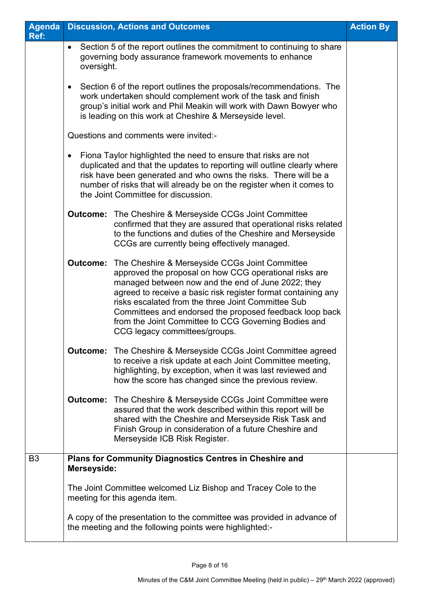| Agenda<br>Ref: |                                                                                                                                                                                                                                                                        | <b>Discussion, Actions and Outcomes</b>                                                                                                                                                                                                                                                                                                                                                                                                                   | <b>Action By</b> |
|----------------|------------------------------------------------------------------------------------------------------------------------------------------------------------------------------------------------------------------------------------------------------------------------|-----------------------------------------------------------------------------------------------------------------------------------------------------------------------------------------------------------------------------------------------------------------------------------------------------------------------------------------------------------------------------------------------------------------------------------------------------------|------------------|
|                | oversight.                                                                                                                                                                                                                                                             | Section 5 of the report outlines the commitment to continuing to share<br>governing body assurance framework movements to enhance                                                                                                                                                                                                                                                                                                                         |                  |
|                | Section 6 of the report outlines the proposals/recommendations. The<br>work undertaken should complement work of the task and finish<br>group's initial work and Phil Meakin will work with Dawn Bowyer who<br>is leading on this work at Cheshire & Merseyside level. |                                                                                                                                                                                                                                                                                                                                                                                                                                                           |                  |
|                | Questions and comments were invited:-                                                                                                                                                                                                                                  |                                                                                                                                                                                                                                                                                                                                                                                                                                                           |                  |
|                |                                                                                                                                                                                                                                                                        | Fiona Taylor highlighted the need to ensure that risks are not<br>duplicated and that the updates to reporting will outline clearly where<br>risk have been generated and who owns the risks. There will be a<br>number of risks that will already be on the register when it comes to<br>the Joint Committee for discussion.                                                                                                                             |                  |
|                |                                                                                                                                                                                                                                                                        | <b>Outcome:</b> The Cheshire & Merseyside CCGs Joint Committee<br>confirmed that they are assured that operational risks related<br>to the functions and duties of the Cheshire and Merseyside<br>CCGs are currently being effectively managed.                                                                                                                                                                                                           |                  |
|                |                                                                                                                                                                                                                                                                        | <b>Outcome:</b> The Cheshire & Merseyside CCGs Joint Committee<br>approved the proposal on how CCG operational risks are<br>managed between now and the end of June 2022; they<br>agreed to receive a basic risk register format containing any<br>risks escalated from the three Joint Committee Sub<br>Committees and endorsed the proposed feedback loop back<br>from the Joint Committee to CCG Governing Bodies and<br>CCG legacy committees/groups. |                  |
|                |                                                                                                                                                                                                                                                                        | <b>Outcome:</b> The Cheshire & Merseyside CCGs Joint Committee agreed<br>to receive a risk update at each Joint Committee meeting,<br>highlighting, by exception, when it was last reviewed and<br>how the score has changed since the previous review.                                                                                                                                                                                                   |                  |
|                |                                                                                                                                                                                                                                                                        | <b>Outcome:</b> The Cheshire & Merseyside CCGs Joint Committee were<br>assured that the work described within this report will be<br>shared with the Cheshire and Merseyside Risk Task and<br>Finish Group in consideration of a future Cheshire and<br>Merseyside ICB Risk Register.                                                                                                                                                                     |                  |
| B <sub>3</sub> | <b>Merseyside:</b>                                                                                                                                                                                                                                                     | <b>Plans for Community Diagnostics Centres in Cheshire and</b>                                                                                                                                                                                                                                                                                                                                                                                            |                  |
|                |                                                                                                                                                                                                                                                                        | The Joint Committee welcomed Liz Bishop and Tracey Cole to the<br>meeting for this agenda item.                                                                                                                                                                                                                                                                                                                                                           |                  |
|                |                                                                                                                                                                                                                                                                        | A copy of the presentation to the committee was provided in advance of<br>the meeting and the following points were highlighted:-                                                                                                                                                                                                                                                                                                                         |                  |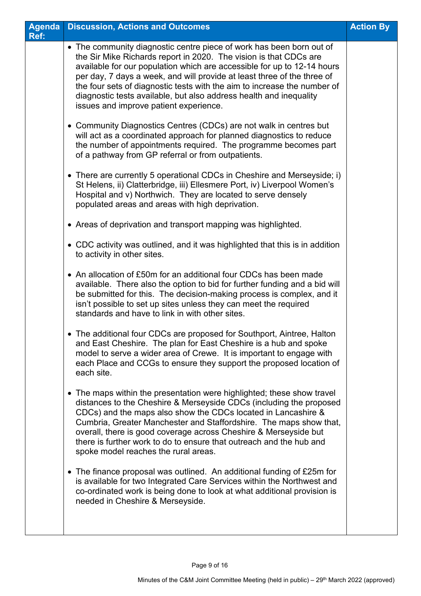| <b>Agenda</b><br>Ref: | <b>Discussion, Actions and Outcomes</b>                                                                                                                                                                                                                                                                                                                                                                                                                                                     | <b>Action By</b> |
|-----------------------|---------------------------------------------------------------------------------------------------------------------------------------------------------------------------------------------------------------------------------------------------------------------------------------------------------------------------------------------------------------------------------------------------------------------------------------------------------------------------------------------|------------------|
|                       | • The community diagnostic centre piece of work has been born out of<br>the Sir Mike Richards report in 2020. The vision is that CDCs are<br>available for our population which are accessible for up to 12-14 hours<br>per day, 7 days a week, and will provide at least three of the three of<br>the four sets of diagnostic tests with the aim to increase the number of<br>diagnostic tests available, but also address health and inequality<br>issues and improve patient experience. |                  |
|                       | • Community Diagnostics Centres (CDCs) are not walk in centres but<br>will act as a coordinated approach for planned diagnostics to reduce<br>the number of appointments required. The programme becomes part<br>of a pathway from GP referral or from outpatients.                                                                                                                                                                                                                         |                  |
|                       | • There are currently 5 operational CDCs in Cheshire and Merseyside; i)<br>St Helens, ii) Clatterbridge, iii) Ellesmere Port, iv) Liverpool Women's<br>Hospital and v) Northwich. They are located to serve densely<br>populated areas and areas with high deprivation.                                                                                                                                                                                                                     |                  |
|                       | • Areas of deprivation and transport mapping was highlighted.                                                                                                                                                                                                                                                                                                                                                                                                                               |                  |
|                       | • CDC activity was outlined, and it was highlighted that this is in addition<br>to activity in other sites.                                                                                                                                                                                                                                                                                                                                                                                 |                  |
|                       | • An allocation of £50m for an additional four CDCs has been made<br>available. There also the option to bid for further funding and a bid will<br>be submitted for this. The decision-making process is complex, and it<br>isn't possible to set up sites unless they can meet the required<br>standards and have to link in with other sites.                                                                                                                                             |                  |
|                       | • The additional four CDCs are proposed for Southport, Aintree, Halton<br>and East Cheshire. The plan for East Cheshire is a hub and spoke<br>model to serve a wider area of Crewe. It is important to engage with<br>each Place and CCGs to ensure they support the proposed location of<br>each site.                                                                                                                                                                                     |                  |
|                       | • The maps within the presentation were highlighted; these show travel<br>distances to the Cheshire & Merseyside CDCs (including the proposed<br>CDCs) and the maps also show the CDCs located in Lancashire &<br>Cumbria, Greater Manchester and Staffordshire. The maps show that,<br>overall, there is good coverage across Cheshire & Merseyside but<br>there is further work to do to ensure that outreach and the hub and<br>spoke model reaches the rural areas.                     |                  |
|                       | • The finance proposal was outlined. An additional funding of £25m for<br>is available for two Integrated Care Services within the Northwest and<br>co-ordinated work is being done to look at what additional provision is<br>needed in Cheshire & Merseyside.                                                                                                                                                                                                                             |                  |
|                       |                                                                                                                                                                                                                                                                                                                                                                                                                                                                                             |                  |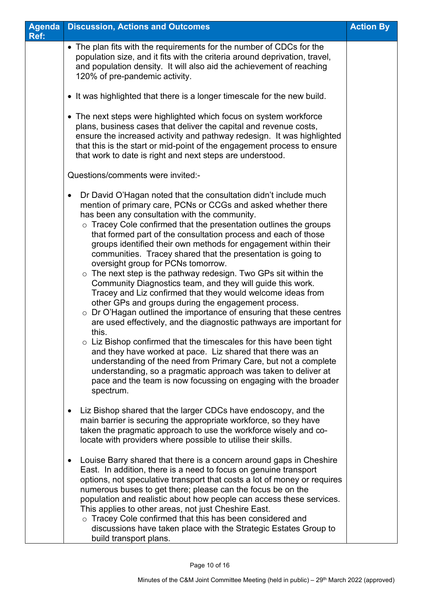| <b>Agenda</b><br>Ref: | <b>Discussion, Actions and Outcomes</b>                                                                                                                                                                                                                                                                                                                                                                                                                                                                                                                                                                                                                                                                                                                                                                                                                                                                                                                                                                                                                                                                                                                                                                                                                                                             | <b>Action By</b> |
|-----------------------|-----------------------------------------------------------------------------------------------------------------------------------------------------------------------------------------------------------------------------------------------------------------------------------------------------------------------------------------------------------------------------------------------------------------------------------------------------------------------------------------------------------------------------------------------------------------------------------------------------------------------------------------------------------------------------------------------------------------------------------------------------------------------------------------------------------------------------------------------------------------------------------------------------------------------------------------------------------------------------------------------------------------------------------------------------------------------------------------------------------------------------------------------------------------------------------------------------------------------------------------------------------------------------------------------------|------------------|
|                       | • The plan fits with the requirements for the number of CDCs for the<br>population size, and it fits with the criteria around deprivation, travel,<br>and population density. It will also aid the achievement of reaching<br>120% of pre-pandemic activity.                                                                                                                                                                                                                                                                                                                                                                                                                                                                                                                                                                                                                                                                                                                                                                                                                                                                                                                                                                                                                                        |                  |
|                       | • It was highlighted that there is a longer timescale for the new build.                                                                                                                                                                                                                                                                                                                                                                                                                                                                                                                                                                                                                                                                                                                                                                                                                                                                                                                                                                                                                                                                                                                                                                                                                            |                  |
|                       | • The next steps were highlighted which focus on system workforce<br>plans, business cases that deliver the capital and revenue costs,<br>ensure the increased activity and pathway redesign. It was highlighted<br>that this is the start or mid-point of the engagement process to ensure<br>that work to date is right and next steps are understood.                                                                                                                                                                                                                                                                                                                                                                                                                                                                                                                                                                                                                                                                                                                                                                                                                                                                                                                                            |                  |
|                       | Questions/comments were invited:-                                                                                                                                                                                                                                                                                                                                                                                                                                                                                                                                                                                                                                                                                                                                                                                                                                                                                                                                                                                                                                                                                                                                                                                                                                                                   |                  |
|                       | Dr David O'Hagan noted that the consultation didn't include much<br>$\bullet$<br>mention of primary care, PCNs or CCGs and asked whether there<br>has been any consultation with the community.<br>$\circ$ Tracey Cole confirmed that the presentation outlines the groups<br>that formed part of the consultation process and each of those<br>groups identified their own methods for engagement within their<br>communities. Tracey shared that the presentation is going to<br>oversight group for PCNs tomorrow.<br>$\circ$ The next step is the pathway redesign. Two GPs sit within the<br>Community Diagnostics team, and they will guide this work.<br>Tracey and Liz confirmed that they would welcome ideas from<br>other GPs and groups during the engagement process.<br>o Dr O'Hagan outlined the importance of ensuring that these centres<br>are used effectively, and the diagnostic pathways are important for<br>this.<br>o Liz Bishop confirmed that the timescales for this have been tight<br>and they have worked at pace. Liz shared that there was an<br>understanding of the need from Primary Care, but not a complete<br>understanding, so a pragmatic approach was taken to deliver at<br>pace and the team is now focussing on engaging with the broader<br>spectrum. |                  |
|                       | Liz Bishop shared that the larger CDCs have endoscopy, and the<br>$\bullet$<br>main barrier is securing the appropriate workforce, so they have<br>taken the pragmatic approach to use the workforce wisely and co-<br>locate with providers where possible to utilise their skills.                                                                                                                                                                                                                                                                                                                                                                                                                                                                                                                                                                                                                                                                                                                                                                                                                                                                                                                                                                                                                |                  |
|                       | Louise Barry shared that there is a concern around gaps in Cheshire<br>$\bullet$<br>East. In addition, there is a need to focus on genuine transport<br>options, not speculative transport that costs a lot of money or requires<br>numerous buses to get there; please can the focus be on the<br>population and realistic about how people can access these services.<br>This applies to other areas, not just Cheshire East.<br>o Tracey Cole confirmed that this has been considered and<br>discussions have taken place with the Strategic Estates Group to<br>build transport plans.                                                                                                                                                                                                                                                                                                                                                                                                                                                                                                                                                                                                                                                                                                          |                  |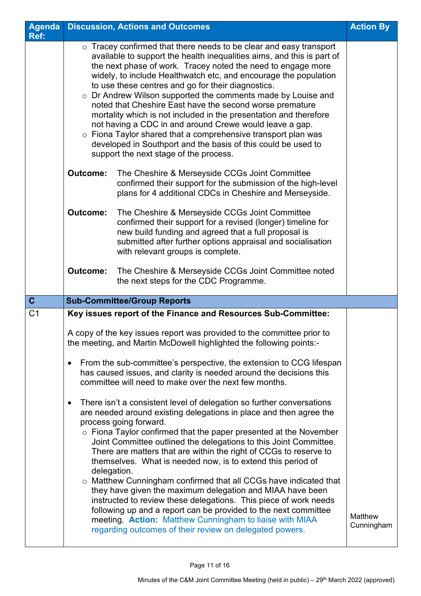| <b>Agenda</b>  | <b>Discussion, Actions and Outcomes</b><br><b>Action By</b>                                                                                                                                                                                                                                                                                                                                                                                                                                                                                                                                                                                                                                                                                                                                                                                                                         |                       |  |
|----------------|-------------------------------------------------------------------------------------------------------------------------------------------------------------------------------------------------------------------------------------------------------------------------------------------------------------------------------------------------------------------------------------------------------------------------------------------------------------------------------------------------------------------------------------------------------------------------------------------------------------------------------------------------------------------------------------------------------------------------------------------------------------------------------------------------------------------------------------------------------------------------------------|-----------------------|--|
| Ref:           |                                                                                                                                                                                                                                                                                                                                                                                                                                                                                                                                                                                                                                                                                                                                                                                                                                                                                     |                       |  |
|                | $\circ$ Tracey confirmed that there needs to be clear and easy transport<br>available to support the health inequalities aims, and this is part of<br>the next phase of work. Tracey noted the need to engage more<br>widely, to include Healthwatch etc, and encourage the population<br>to use these centres and go for their diagnostics.<br>o Dr Andrew Wilson supported the comments made by Louise and<br>noted that Cheshire East have the second worse premature<br>mortality which is not included in the presentation and therefore<br>not having a CDC in and around Crewe would leave a gap.<br>$\circ$ Fiona Taylor shared that a comprehensive transport plan was<br>developed in Southport and the basis of this could be used to<br>support the next stage of the process.                                                                                          |                       |  |
|                | The Cheshire & Merseyside CCGs Joint Committee<br><b>Outcome:</b><br>confirmed their support for the submission of the high-level<br>plans for 4 additional CDCs in Cheshire and Merseyside.<br><b>Outcome:</b><br>The Cheshire & Merseyside CCGs Joint Committee<br>confirmed their support for a revised (longer) timeline for<br>new build funding and agreed that a full proposal is                                                                                                                                                                                                                                                                                                                                                                                                                                                                                            |                       |  |
|                | submitted after further options appraisal and socialisation<br>with relevant groups is complete.<br><b>Outcome:</b><br>The Cheshire & Merseyside CCGs Joint Committee noted<br>the next steps for the CDC Programme.                                                                                                                                                                                                                                                                                                                                                                                                                                                                                                                                                                                                                                                                |                       |  |
| $\mathbf{C}$   | <b>Sub-Committee/Group Reports</b>                                                                                                                                                                                                                                                                                                                                                                                                                                                                                                                                                                                                                                                                                                                                                                                                                                                  |                       |  |
| C <sub>1</sub> | Key issues report of the Finance and Resources Sub-Committee:                                                                                                                                                                                                                                                                                                                                                                                                                                                                                                                                                                                                                                                                                                                                                                                                                       |                       |  |
|                | A copy of the key issues report was provided to the committee prior to<br>the meeting, and Martin McDowell highlighted the following points:-<br>From the sub-committee's perspective, the extension to CCG lifespan<br>$\bullet$<br>has caused issues, and clarity is needed around the decisions this<br>committee will need to make over the next few months.                                                                                                                                                                                                                                                                                                                                                                                                                                                                                                                    |                       |  |
|                | There isn't a consistent level of delegation so further conversations<br>$\bullet$<br>are needed around existing delegations in place and then agree the<br>process going forward.<br>$\circ$ Fiona Taylor confirmed that the paper presented at the November<br>Joint Committee outlined the delegations to this Joint Committee.<br>There are matters that are within the right of CCGs to reserve to<br>themselves. What is needed now, is to extend this period of<br>delegation.<br>o Matthew Cunningham confirmed that all CCGs have indicated that<br>they have given the maximum delegation and MIAA have been<br>instructed to review these delegations. This piece of work needs<br>following up and a report can be provided to the next committee<br>meeting. Action: Matthew Cunningham to liaise with MIAA<br>regarding outcomes of their review on delegated powers. | Matthew<br>Cunningham |  |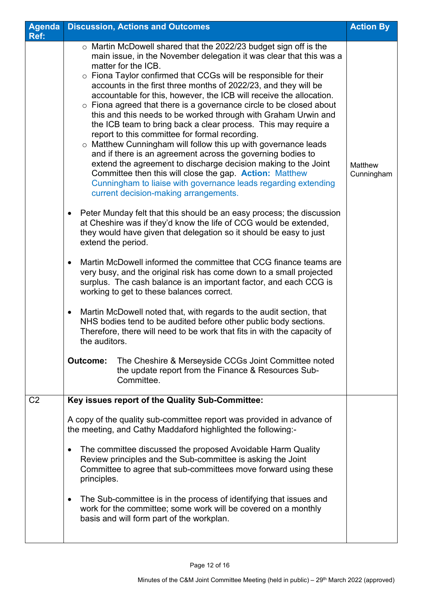| Agenda         | <b>Discussion, Actions and Outcomes</b>                                                                                                                                                                                                                                                                                                                                                                                                                                                                                                                                                                                                                                                                                                                                                                                                                                                                                                                                                                                                                                                                                                                                                                                                                                                                                                                                                                                                                                                                                                                                                                                                                                                                                                                                                                                                                                            | <b>Action By</b>      |
|----------------|------------------------------------------------------------------------------------------------------------------------------------------------------------------------------------------------------------------------------------------------------------------------------------------------------------------------------------------------------------------------------------------------------------------------------------------------------------------------------------------------------------------------------------------------------------------------------------------------------------------------------------------------------------------------------------------------------------------------------------------------------------------------------------------------------------------------------------------------------------------------------------------------------------------------------------------------------------------------------------------------------------------------------------------------------------------------------------------------------------------------------------------------------------------------------------------------------------------------------------------------------------------------------------------------------------------------------------------------------------------------------------------------------------------------------------------------------------------------------------------------------------------------------------------------------------------------------------------------------------------------------------------------------------------------------------------------------------------------------------------------------------------------------------------------------------------------------------------------------------------------------------|-----------------------|
| Ref:           |                                                                                                                                                                                                                                                                                                                                                                                                                                                                                                                                                                                                                                                                                                                                                                                                                                                                                                                                                                                                                                                                                                                                                                                                                                                                                                                                                                                                                                                                                                                                                                                                                                                                                                                                                                                                                                                                                    |                       |
|                | $\circ$ Martin McDowell shared that the 2022/23 budget sign off is the<br>main issue, in the November delegation it was clear that this was a<br>matter for the ICB.<br>o Fiona Taylor confirmed that CCGs will be responsible for their<br>accounts in the first three months of 2022/23, and they will be<br>accountable for this, however, the ICB will receive the allocation.<br>$\circ$ Fiona agreed that there is a governance circle to be closed about<br>this and this needs to be worked through with Graham Urwin and<br>the ICB team to bring back a clear process. This may require a<br>report to this committee for formal recording.<br>$\circ$ Matthew Cunningham will follow this up with governance leads<br>and if there is an agreement across the governing bodies to<br>extend the agreement to discharge decision making to the Joint<br>Committee then this will close the gap. <b>Action:</b> Matthew<br>Cunningham to liaise with governance leads regarding extending<br>current decision-making arrangements.<br>Peter Munday felt that this should be an easy process; the discussion<br>at Cheshire was if they'd know the life of CCG would be extended,<br>they would have given that delegation so it should be easy to just<br>extend the period.<br>Martin McDowell informed the committee that CCG finance teams are<br>very busy, and the original risk has come down to a small projected<br>surplus. The cash balance is an important factor, and each CCG is<br>working to get to these balances correct.<br>Martin McDowell noted that, with regards to the audit section, that<br>$\bullet$<br>NHS bodies tend to be audited before other public body sections.<br>Therefore, there will need to be work that fits in with the capacity of<br>the auditors.<br><b>Outcome:</b><br>The Cheshire & Merseyside CCGs Joint Committee noted | Matthew<br>Cunningham |
|                | the update report from the Finance & Resources Sub-<br>Committee.                                                                                                                                                                                                                                                                                                                                                                                                                                                                                                                                                                                                                                                                                                                                                                                                                                                                                                                                                                                                                                                                                                                                                                                                                                                                                                                                                                                                                                                                                                                                                                                                                                                                                                                                                                                                                  |                       |
|                |                                                                                                                                                                                                                                                                                                                                                                                                                                                                                                                                                                                                                                                                                                                                                                                                                                                                                                                                                                                                                                                                                                                                                                                                                                                                                                                                                                                                                                                                                                                                                                                                                                                                                                                                                                                                                                                                                    |                       |
| C <sub>2</sub> | Key issues report of the Quality Sub-Committee:<br>A copy of the quality sub-committee report was provided in advance of<br>the meeting, and Cathy Maddaford highlighted the following:-                                                                                                                                                                                                                                                                                                                                                                                                                                                                                                                                                                                                                                                                                                                                                                                                                                                                                                                                                                                                                                                                                                                                                                                                                                                                                                                                                                                                                                                                                                                                                                                                                                                                                           |                       |
|                |                                                                                                                                                                                                                                                                                                                                                                                                                                                                                                                                                                                                                                                                                                                                                                                                                                                                                                                                                                                                                                                                                                                                                                                                                                                                                                                                                                                                                                                                                                                                                                                                                                                                                                                                                                                                                                                                                    |                       |
|                | The committee discussed the proposed Avoidable Harm Quality<br>Review principles and the Sub-committee is asking the Joint<br>Committee to agree that sub-committees move forward using these<br>principles.                                                                                                                                                                                                                                                                                                                                                                                                                                                                                                                                                                                                                                                                                                                                                                                                                                                                                                                                                                                                                                                                                                                                                                                                                                                                                                                                                                                                                                                                                                                                                                                                                                                                       |                       |
|                | The Sub-committee is in the process of identifying that issues and<br>$\bullet$<br>work for the committee; some work will be covered on a monthly<br>basis and will form part of the workplan.                                                                                                                                                                                                                                                                                                                                                                                                                                                                                                                                                                                                                                                                                                                                                                                                                                                                                                                                                                                                                                                                                                                                                                                                                                                                                                                                                                                                                                                                                                                                                                                                                                                                                     |                       |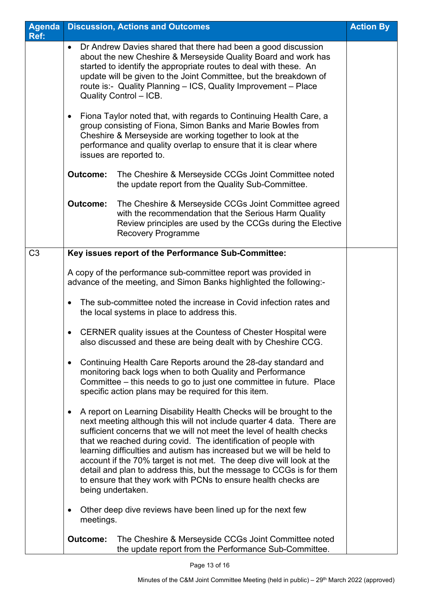| <b>Agenda</b><br>Ref: |                                                                                                                                                                                                                                                                                                                                                                       | <b>Discussion, Actions and Outcomes</b>                                                                                                                                                                                                                                                                                                                                                                                                                                                                                                                                                                  | <b>Action By</b> |
|-----------------------|-----------------------------------------------------------------------------------------------------------------------------------------------------------------------------------------------------------------------------------------------------------------------------------------------------------------------------------------------------------------------|----------------------------------------------------------------------------------------------------------------------------------------------------------------------------------------------------------------------------------------------------------------------------------------------------------------------------------------------------------------------------------------------------------------------------------------------------------------------------------------------------------------------------------------------------------------------------------------------------------|------------------|
|                       | Dr Andrew Davies shared that there had been a good discussion<br>about the new Cheshire & Merseyside Quality Board and work has<br>started to identify the appropriate routes to deal with these. An<br>update will be given to the Joint Committee, but the breakdown of<br>route is:- Quality Planning - ICS, Quality Improvement - Place<br>Quality Control - ICB. |                                                                                                                                                                                                                                                                                                                                                                                                                                                                                                                                                                                                          |                  |
|                       | Fiona Taylor noted that, with regards to Continuing Health Care, a<br>$\bullet$<br>group consisting of Fiona, Simon Banks and Marie Bowles from<br>Cheshire & Merseyside are working together to look at the<br>performance and quality overlap to ensure that it is clear where<br>issues are reported to.                                                           |                                                                                                                                                                                                                                                                                                                                                                                                                                                                                                                                                                                                          |                  |
|                       | <b>Outcome:</b>                                                                                                                                                                                                                                                                                                                                                       | The Cheshire & Merseyside CCGs Joint Committee noted<br>the update report from the Quality Sub-Committee.                                                                                                                                                                                                                                                                                                                                                                                                                                                                                                |                  |
|                       | <b>Outcome:</b>                                                                                                                                                                                                                                                                                                                                                       | The Cheshire & Merseyside CCGs Joint Committee agreed<br>with the recommendation that the Serious Harm Quality<br>Review principles are used by the CCGs during the Elective<br><b>Recovery Programme</b>                                                                                                                                                                                                                                                                                                                                                                                                |                  |
| C <sub>3</sub>        |                                                                                                                                                                                                                                                                                                                                                                       | Key issues report of the Performance Sub-Committee:                                                                                                                                                                                                                                                                                                                                                                                                                                                                                                                                                      |                  |
|                       |                                                                                                                                                                                                                                                                                                                                                                       | A copy of the performance sub-committee report was provided in<br>advance of the meeting, and Simon Banks highlighted the following:-                                                                                                                                                                                                                                                                                                                                                                                                                                                                    |                  |
|                       |                                                                                                                                                                                                                                                                                                                                                                       | The sub-committee noted the increase in Covid infection rates and<br>the local systems in place to address this.                                                                                                                                                                                                                                                                                                                                                                                                                                                                                         |                  |
|                       |                                                                                                                                                                                                                                                                                                                                                                       | CERNER quality issues at the Countess of Chester Hospital were<br>also discussed and these are being dealt with by Cheshire CCG.                                                                                                                                                                                                                                                                                                                                                                                                                                                                         |                  |
|                       | $\bullet$                                                                                                                                                                                                                                                                                                                                                             | Continuing Health Care Reports around the 28-day standard and<br>monitoring back logs when to both Quality and Performance<br>Committee - this needs to go to just one committee in future. Place<br>specific action plans may be required for this item.                                                                                                                                                                                                                                                                                                                                                |                  |
|                       | $\bullet$                                                                                                                                                                                                                                                                                                                                                             | A report on Learning Disability Health Checks will be brought to the<br>next meeting although this will not include quarter 4 data. There are<br>sufficient concerns that we will not meet the level of health checks<br>that we reached during covid. The identification of people with<br>learning difficulties and autism has increased but we will be held to<br>account if the 70% target is not met. The deep dive will look at the<br>detail and plan to address this, but the message to CCGs is for them<br>to ensure that they work with PCNs to ensure health checks are<br>being undertaken. |                  |
|                       | $\bullet$<br>meetings.                                                                                                                                                                                                                                                                                                                                                | Other deep dive reviews have been lined up for the next few                                                                                                                                                                                                                                                                                                                                                                                                                                                                                                                                              |                  |
|                       | <b>Outcome:</b>                                                                                                                                                                                                                                                                                                                                                       | The Cheshire & Merseyside CCGs Joint Committee noted<br>the update report from the Performance Sub-Committee.                                                                                                                                                                                                                                                                                                                                                                                                                                                                                            |                  |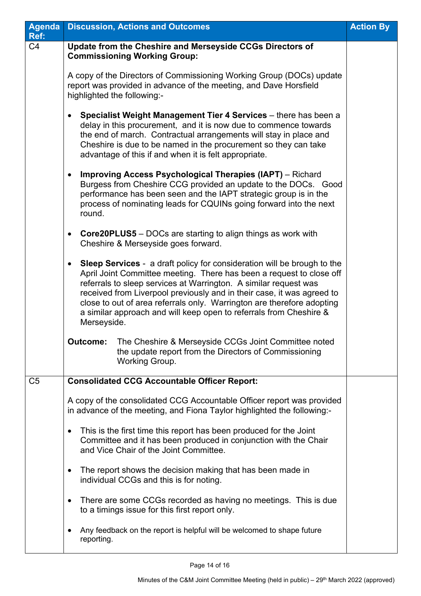| Agenda         | <b>Discussion, Actions and Outcomes</b>                                                                                                                                                                                                                                                                                                                                                                                                                                          | <b>Action By</b> |
|----------------|----------------------------------------------------------------------------------------------------------------------------------------------------------------------------------------------------------------------------------------------------------------------------------------------------------------------------------------------------------------------------------------------------------------------------------------------------------------------------------|------------------|
| Ref:<br>C4     | Update from the Cheshire and Merseyside CCGs Directors of<br><b>Commissioning Working Group:</b>                                                                                                                                                                                                                                                                                                                                                                                 |                  |
|                | A copy of the Directors of Commissioning Working Group (DOCs) update<br>report was provided in advance of the meeting, and Dave Horsfield<br>highlighted the following:-                                                                                                                                                                                                                                                                                                         |                  |
|                | Specialist Weight Management Tier 4 Services - there has been a<br>delay in this procurement, and it is now due to commence towards<br>the end of march. Contractual arrangements will stay in place and<br>Cheshire is due to be named in the procurement so they can take<br>advantage of this if and when it is felt appropriate.                                                                                                                                             |                  |
|                | <b>Improving Access Psychological Therapies (IAPT)</b> – Richard<br>$\bullet$<br>Burgess from Cheshire CCG provided an update to the DOCs. Good<br>performance has been seen and the IAPT strategic group is in the<br>process of nominating leads for CQUINs going forward into the next<br>round.                                                                                                                                                                              |                  |
|                | <b>Core20PLUS5</b> - DOCs are starting to align things as work with<br>$\bullet$<br>Cheshire & Merseyside goes forward.                                                                                                                                                                                                                                                                                                                                                          |                  |
|                | <b>Sleep Services</b> - a draft policy for consideration will be brough to the<br>$\bullet$<br>April Joint Committee meeting. There has been a request to close off<br>referrals to sleep services at Warrington. A similar request was<br>received from Liverpool previously and in their case, it was agreed to<br>close to out of area referrals only. Warrington are therefore adopting<br>a similar approach and will keep open to referrals from Cheshire &<br>Merseyside. |                  |
|                | <b>Outcome:</b><br>The Cheshire & Merseyside CCGs Joint Committee noted<br>the update report from the Directors of Commissioning<br>Working Group.                                                                                                                                                                                                                                                                                                                               |                  |
| C <sub>5</sub> | <b>Consolidated CCG Accountable Officer Report:</b>                                                                                                                                                                                                                                                                                                                                                                                                                              |                  |
|                | A copy of the consolidated CCG Accountable Officer report was provided<br>in advance of the meeting, and Fiona Taylor highlighted the following:-                                                                                                                                                                                                                                                                                                                                |                  |
|                | This is the first time this report has been produced for the Joint<br>$\bullet$<br>Committee and it has been produced in conjunction with the Chair<br>and Vice Chair of the Joint Committee.                                                                                                                                                                                                                                                                                    |                  |
|                | The report shows the decision making that has been made in<br>individual CCGs and this is for noting.                                                                                                                                                                                                                                                                                                                                                                            |                  |
|                | There are some CCGs recorded as having no meetings. This is due<br>to a timings issue for this first report only.                                                                                                                                                                                                                                                                                                                                                                |                  |
|                | Any feedback on the report is helpful will be welcomed to shape future<br>reporting.                                                                                                                                                                                                                                                                                                                                                                                             |                  |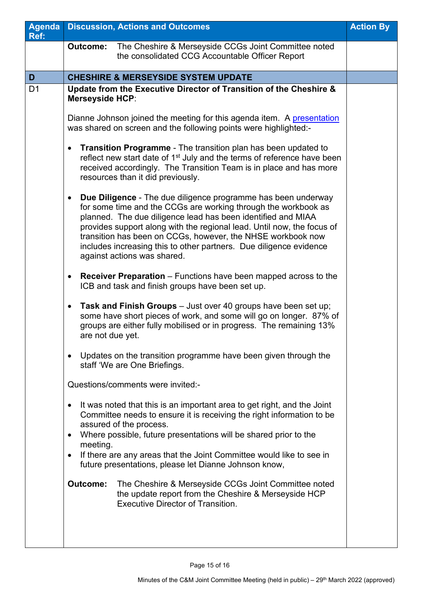| Agenda<br>Ref: | <b>Discussion, Actions and Outcomes</b>                                                                                                                                                                                                                                                                                                                                                                                                                                                                                                                                                                                                                                                                                                                                                                          | <b>Action By</b> |
|----------------|------------------------------------------------------------------------------------------------------------------------------------------------------------------------------------------------------------------------------------------------------------------------------------------------------------------------------------------------------------------------------------------------------------------------------------------------------------------------------------------------------------------------------------------------------------------------------------------------------------------------------------------------------------------------------------------------------------------------------------------------------------------------------------------------------------------|------------------|
|                | The Cheshire & Merseyside CCGs Joint Committee noted<br><b>Outcome:</b><br>the consolidated CCG Accountable Officer Report                                                                                                                                                                                                                                                                                                                                                                                                                                                                                                                                                                                                                                                                                       |                  |
| D              | <b>CHESHIRE &amp; MERSEYSIDE SYSTEM UPDATE</b>                                                                                                                                                                                                                                                                                                                                                                                                                                                                                                                                                                                                                                                                                                                                                                   |                  |
| D <sub>1</sub> | Update from the Executive Director of Transition of the Cheshire &<br><b>Merseyside HCP:</b><br>Dianne Johnson joined the meeting for this agenda item. A presentation                                                                                                                                                                                                                                                                                                                                                                                                                                                                                                                                                                                                                                           |                  |
|                | was shared on screen and the following points were highlighted:-<br><b>Transition Programme - The transition plan has been updated to</b><br>reflect new start date of 1 <sup>st</sup> July and the terms of reference have been<br>received accordingly. The Transition Team is in place and has more<br>resources than it did previously.<br><b>Due Diligence</b> - The due diligence programme has been underway<br>$\bullet$<br>for some time and the CCGs are working through the workbook as<br>planned. The due diligence lead has been identified and MIAA<br>provides support along with the regional lead. Until now, the focus of<br>transition has been on CCGs, however, the NHSE workbook now<br>includes increasing this to other partners. Due diligence evidence<br>against actions was shared. |                  |
|                | <b>Receiver Preparation</b> – Functions have been mapped across to the<br>ICB and task and finish groups have been set up.<br>Task and Finish Groups - Just over 40 groups have been set up;<br>$\bullet$<br>some have short pieces of work, and some will go on longer. 87% of<br>groups are either fully mobilised or in progress. The remaining 13%<br>are not due yet.                                                                                                                                                                                                                                                                                                                                                                                                                                       |                  |
|                | Updates on the transition programme have been given through the<br>staff 'We are One Briefings.<br>Questions/comments were invited:-<br>It was noted that this is an important area to get right, and the Joint<br>Committee needs to ensure it is receiving the right information to be<br>assured of the process.<br>Where possible, future presentations will be shared prior to the<br>meeting.<br>If there are any areas that the Joint Committee would like to see in<br>future presentations, please let Dianne Johnson know,<br>The Cheshire & Merseyside CCGs Joint Committee noted<br><b>Outcome:</b><br>the update report from the Cheshire & Merseyside HCP<br><b>Executive Director of Transition.</b>                                                                                              |                  |